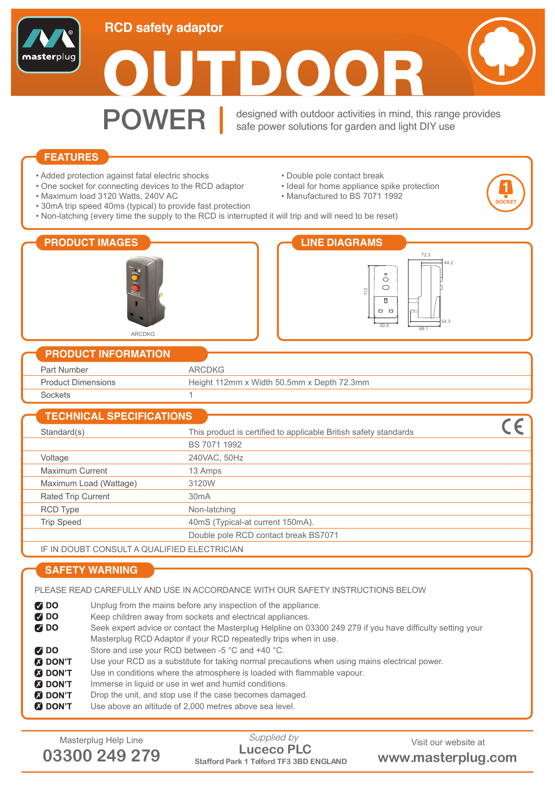

**POWER** designed with outdoor activities in mind, this range provides<br>safe power solutions for garden and light DIY use safe power solutions for garden and light DIY use

• Ideal for home appliance spike protection

• Double pole contact break

• Manufactured to BS 7071 1992

**1 SOCKET**

## **FEATURES**

- Added protection against fatal electric shocks
- One socket for connecting devices to the RCD adaptor
- Maximum load 3120 Watts, 240V AC
- 30mA trip speed 40ms (typical) to provide fast protection
- Non-latching (every time the supply to the RCD is interrupted it will trip and will need to be reset)

| <b>PRODUCT IMAGES</b><br>ARCDKG | <b>LINE DIAGRAMS</b><br>72.3<br>44.2<br>$\circ$<br>◯<br>◯<br>112<br>н<br><b>. .</b><br>54.3<br>50.5<br>68.1 |  |  |
|---------------------------------|-------------------------------------------------------------------------------------------------------------|--|--|
| <b>PRODUCT INFORMATION</b>      |                                                                                                             |  |  |
| Part Number                     | <b>ARCDKG</b>                                                                                               |  |  |
| <b>Product Dimensions</b>       | Height 112mm x Width 50.5mm x Depth 72.3mm                                                                  |  |  |
| Sockets                         |                                                                                                             |  |  |
| <b>TECHNICAL SPECIFICATIONS</b> |                                                                                                             |  |  |
| Standard(s)                     | This product is certified to applicable British safety standards                                            |  |  |
|                                 | BS 7071 1992                                                                                                |  |  |
| Voltage                         | 240VAC, 50Hz                                                                                                |  |  |
| $M$ avisarian $Q$ rian ah       | $40 \Delta$                                                                                                 |  |  |

|                           | ----------                       |
|---------------------------|----------------------------------|
| Voltage                   | 240VAC, 50Hz                     |
| <b>Maximum Current</b>    | 13 Amps                          |
| Maximum Load (Wattage)    | 3120W                            |
| <b>Rated Trip Current</b> | 30 <sub>m</sub> A                |
| RCD Type                  | Non-latching                     |
| <b>Trip Speed</b>         | 40mS (Typical-at current 150mA). |

Double pole RCD contact break BS7071

IF IN DOUBT CONSULT A QUALIFIED ELECTRICIAN

## **SAFETY WARNING**

PLEASE READ CAREFULLY AND USE IN ACCORDANCE WITH OUR SAFETY INSTRUCTIONS BELOW

**Z** DO Unplug from the mains before any inspection of the appliance.  $700$ Keep children away from sockets and electrical appliances.  $700$ Seek expert advice or contact the Masterplug Helpline on 03300 249 279 if you have difficulty setting your Masterplug RCD Adaptor if your RCD repeatedly trips when in use.  $700$ Store and use your RCD between -5 °C and +40 °C. **B** DON'T Use your RCD as a substitute for taking normal precautions when using mains electrical power. **M** DON'T Use in conditions where the atmosphere is loaded with flammable vapour. **M** DON'T Immerse in liquid or use in wet and humid conditions. **8** DON'T Drop the unit, and stop use if the case becomes damaged. **M** DON'T Use above an altitude of 2,000 metres above sea level.

Masterplug Help Line Supplied by Supplied by Visit our website at a metal of  $\blacksquare$ **03300 249 279 Stafford Park 1 Telford TF3 3BD ENGLAND www.masterplug.com Luceco PLC** *Supplied by*